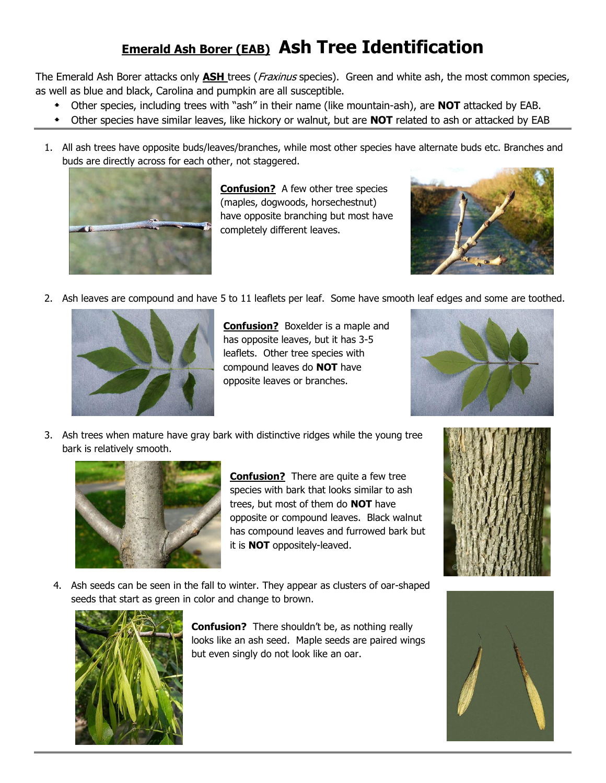## **Emerald Ash Borer (EAB) Ash Tree Identification**

The Emerald Ash Borer attacks only **ASH** trees (Fraxinus species). Green and white ash, the most common species, as well as blue and black, Carolina and pumpkin are all susceptible.

- Other species, including trees with "ash" in their name (like mountain-ash), are **NOT** attacked by EAB.
- Other species have similar leaves, like hickory or walnut, but are **NOT** related to ash or attacked by EAB
- 1. All ash trees have opposite buds/leaves/branches, while most other species have alternate buds etc. Branches and buds are directly across for each other, not staggered.



**Confusion?** A few other tree species (maples, dogwoods, horsechestnut) have opposite branching but most have completely different leaves.



2. Ash leaves are compound and have 5 to 11 leaflets per leaf. Some have smooth leaf edges and some are toothed.



**Confusion?** Boxelder is a maple and has opposite leaves, but it has 3-5 leaflets. Other tree species with compound leaves do **NOT** have opposite leaves or branches.



3. Ash trees when mature have gray bark with distinctive ridges while the young tree bark is relatively smooth.



**Confusion?** There are quite a few tree species with bark that looks similar to ash trees, but most of them do **NOT** have opposite or compound leaves. Black walnut has compound leaves and furrowed bark but it is **NOT** oppositely-leaved.



4. Ash seeds can be seen in the fall to winter. They appear as clusters of oar-shaped seeds that start as green in color and change to brown.



**Confusion?** There shouldn't be, as nothing really looks like an ash seed. Maple seeds are paired wings but even singly do not look like an oar.